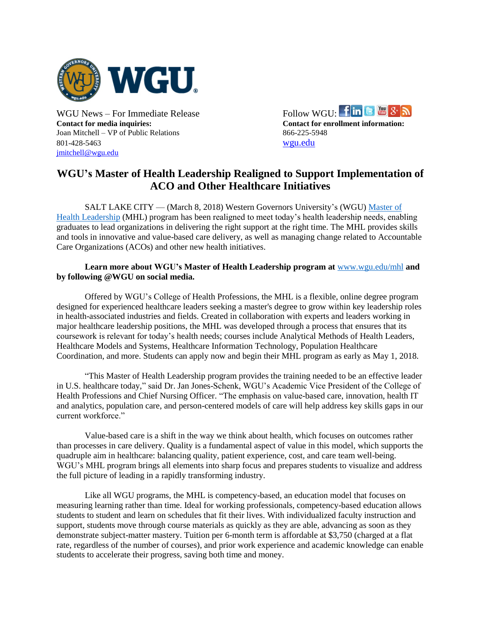

**Contact for media inquiries: Contact for enrollment information:** Joan Mitchell – VP of Public Relations 866-225-5948 801-428-5463 [wgu.edu](http://www.wgu.edu/) [jmitchell@wgu.edu](mailto:jmitchell@wgu.edu)



## **WGU's Master of Health Leadership Realigned to Support Implementation of ACO and Other Healthcare Initiatives**

SALT LAKE CITY — (March 8, 2018) Western Governors University's (WGU) [Master of](https://www.wgu.edu/online-nursing-health-degrees/masters-healthcare-administration-leadership.html)  [Health Leadership](https://www.wgu.edu/online-nursing-health-degrees/masters-healthcare-administration-leadership.html) (MHL) program has been realigned to meet today's health leadership needs, enabling graduates to lead organizations in delivering the right support at the right time. The MHL provides skills and tools in innovative and value-based care delivery, as well as managing change related to Accountable Care Organizations (ACOs) and other new health initiatives.

## **Learn more about WGU's Master of Health Leadership program at** [www.wgu.edu/mhl](https://www.wgu.edu/online-nursing-health-degrees/masters-healthcare-administration-leadership.html) **and by following @WGU on social media.**

Offered by WGU's College of Health Professions, the MHL is a flexible, online degree program designed for experienced healthcare leaders seeking a master's degree to grow within key leadership roles in health-associated industries and fields. Created in collaboration with experts and leaders working in major healthcare leadership positions, the MHL was developed through a process that ensures that its coursework is relevant for today's health needs; courses include Analytical Methods of Health Leaders, Healthcare Models and Systems, Healthcare Information Technology, Population Healthcare Coordination, and more. Students can apply now and begin their MHL program as early as May 1, 2018.

"This Master of Health Leadership program provides the training needed to be an effective leader in U.S. healthcare today," said Dr. Jan Jones-Schenk, WGU's Academic Vice President of the College of Health Professions and Chief Nursing Officer. "The emphasis on value-based care, innovation, health IT and analytics, population care, and person-centered models of care will help address key skills gaps in our current workforce."

Value-based care is a shift in the way we think about health, which focuses on outcomes rather than processes in care delivery. Quality is a fundamental aspect of value in this model, which supports the quadruple aim in healthcare: balancing quality, patient experience, cost, and care team well-being. WGU's MHL program brings all elements into sharp focus and prepares students to visualize and address the full picture of leading in a rapidly transforming industry.

Like all WGU programs, the MHL is competency-based, an education model that focuses on measuring learning rather than time. Ideal for working professionals, competency-based education allows students to student and learn on schedules that fit their lives. With individualized faculty instruction and support, students move through course materials as quickly as they are able, advancing as soon as they demonstrate subject-matter mastery. Tuition per 6-month term is affordable at \$3,750 (charged at a flat rate, regardless of the number of courses), and prior work experience and academic knowledge can enable students to accelerate their progress, saving both time and money.